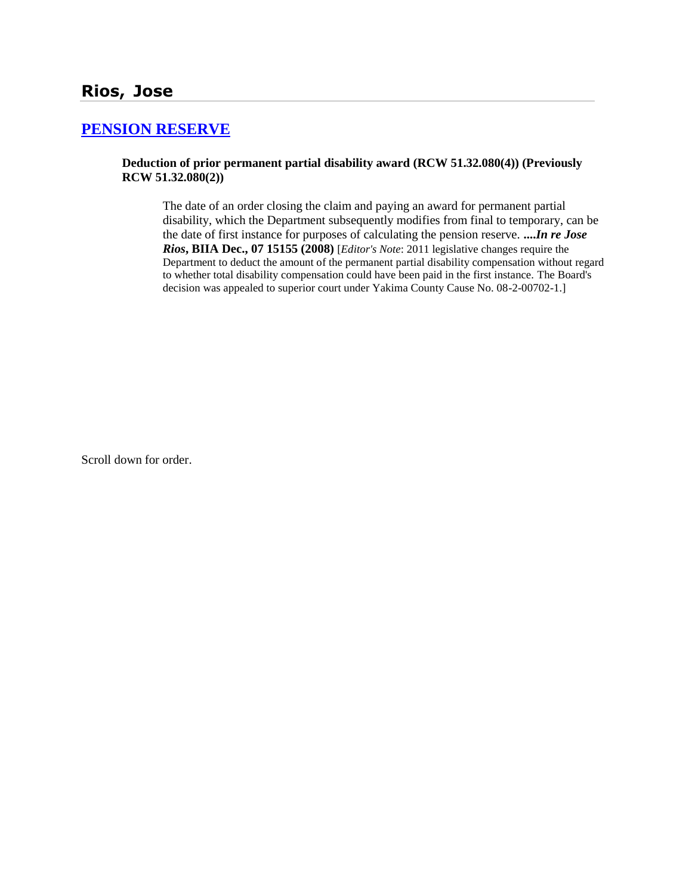# **Rios, Jose**

## **[PENSION RESERVE](http://www.biia.wa.gov/SDSubjectIndex.html#PENSION_RESERVE)**

#### **Deduction of prior permanent partial disability award (RCW 51.32.080(4)) (Previously RCW 51.32.080(2))**

The date of an order closing the claim and paying an award for permanent partial disability, which the Department subsequently modifies from final to temporary, can be the date of first instance for purposes of calculating the pension reserve. **....***In re Jose Rios***, BIIA Dec., 07 15155 (2008)** [*Editor's Note*: 2011 legislative changes require the Department to deduct the amount of the permanent partial disability compensation without regard to whether total disability compensation could have been paid in the first instance. The Board's decision was appealed to superior court under Yakima County Cause No. 08-2-00702-1.]

Scroll down for order.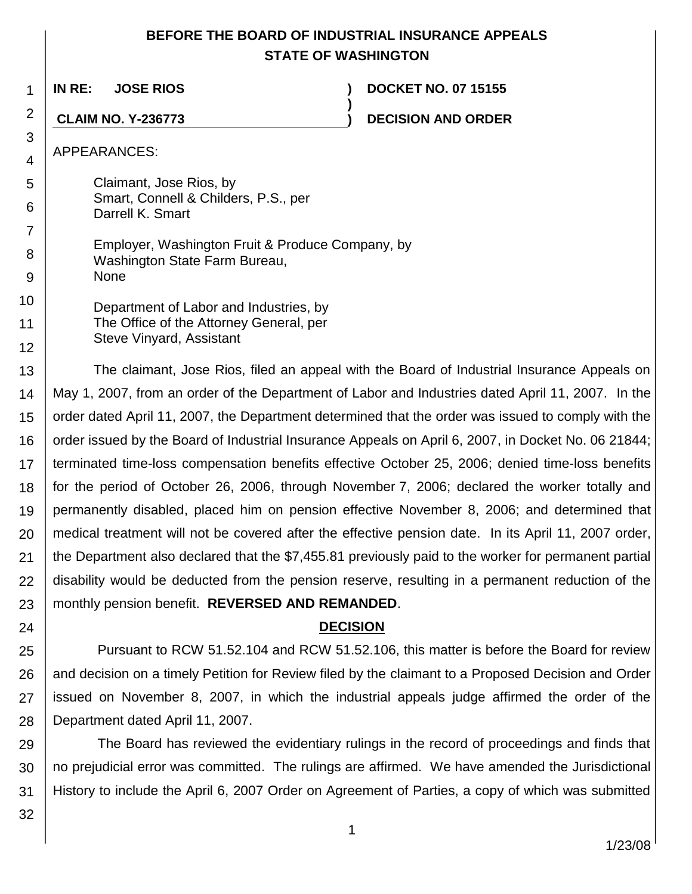# **BEFORE THE BOARD OF INDUSTRIAL INSURANCE APPEALS STATE OF WASHINGTON**

**)**

1

**IN RE: JOSE RIOS ) DOCKET NO. 07 15155**

**CLAIM NO. Y-236773 ) DECISION AND ORDER**

APPEARANCES:

2

3 4

5 6 Claimant, Jose Rios, by Smart, Connell & Childers, P.S., per Darrell K. Smart

7 8 9 Employer, Washington Fruit & Produce Company, by Washington State Farm Bureau, None

10 11 12 Department of Labor and Industries, by The Office of the Attorney General, per Steve Vinyard, Assistant

13 14 15 16 17 18 19 20 21 22 23 The claimant, Jose Rios, filed an appeal with the Board of Industrial Insurance Appeals on May 1, 2007, from an order of the Department of Labor and Industries dated April 11, 2007. In the order dated April 11, 2007, the Department determined that the order was issued to comply with the order issued by the Board of Industrial Insurance Appeals on April 6, 2007, in Docket No. 06 21844; terminated time-loss compensation benefits effective October 25, 2006; denied time-loss benefits for the period of October 26, 2006, through November 7, 2006; declared the worker totally and permanently disabled, placed him on pension effective November 8, 2006; and determined that medical treatment will not be covered after the effective pension date. In its April 11, 2007 order, the Department also declared that the \$7,455.81 previously paid to the worker for permanent partial disability would be deducted from the pension reserve, resulting in a permanent reduction of the monthly pension benefit. **REVERSED AND REMANDED**.

**DECISION**

25 26 27 28 Pursuant to RCW 51.52.104 and RCW 51.52.106, this matter is before the Board for review and decision on a timely Petition for Review filed by the claimant to a Proposed Decision and Order issued on November 8, 2007, in which the industrial appeals judge affirmed the order of the Department dated April 11, 2007.

29 30 31 The Board has reviewed the evidentiary rulings in the record of proceedings and finds that no prejudicial error was committed. The rulings are affirmed. We have amended the Jurisdictional History to include the April 6, 2007 Order on Agreement of Parties, a copy of which was submitted

32

24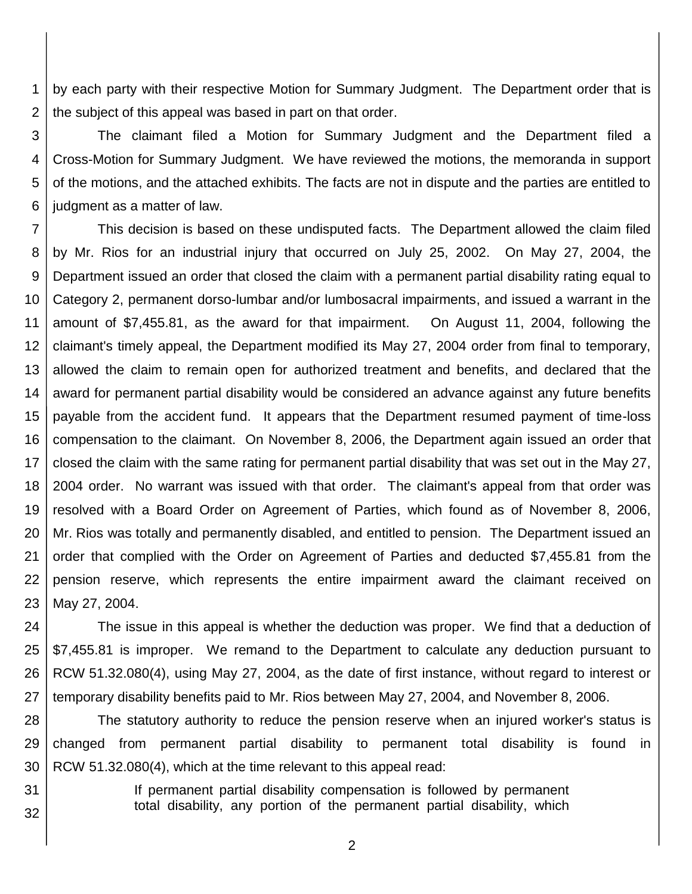1 2 by each party with their respective Motion for Summary Judgment. The Department order that is the subject of this appeal was based in part on that order.

3 4 5 6 The claimant filed a Motion for Summary Judgment and the Department filed a Cross-Motion for Summary Judgment. We have reviewed the motions, the memoranda in support of the motions, and the attached exhibits. The facts are not in dispute and the parties are entitled to judgment as a matter of law.

7 8 9 10 11 12 13 14 15 16 17 18 19 20 21 22 23 This decision is based on these undisputed facts. The Department allowed the claim filed by Mr. Rios for an industrial injury that occurred on July 25, 2002. On May 27, 2004, the Department issued an order that closed the claim with a permanent partial disability rating equal to Category 2, permanent dorso-lumbar and/or lumbosacral impairments, and issued a warrant in the amount of \$7,455.81, as the award for that impairment. On August 11, 2004, following the claimant's timely appeal, the Department modified its May 27, 2004 order from final to temporary, allowed the claim to remain open for authorized treatment and benefits, and declared that the award for permanent partial disability would be considered an advance against any future benefits payable from the accident fund. It appears that the Department resumed payment of time-loss compensation to the claimant. On November 8, 2006, the Department again issued an order that closed the claim with the same rating for permanent partial disability that was set out in the May 27, 2004 order. No warrant was issued with that order. The claimant's appeal from that order was resolved with a Board Order on Agreement of Parties, which found as of November 8, 2006, Mr. Rios was totally and permanently disabled, and entitled to pension. The Department issued an order that complied with the Order on Agreement of Parties and deducted \$7,455.81 from the pension reserve, which represents the entire impairment award the claimant received on May 27, 2004.

24 25 26 27 The issue in this appeal is whether the deduction was proper. We find that a deduction of \$7,455.81 is improper. We remand to the Department to calculate any deduction pursuant to RCW 51.32.080(4), using May 27, 2004, as the date of first instance, without regard to interest or temporary disability benefits paid to Mr. Rios between May 27, 2004, and November 8, 2006.

28 29 30 The statutory authority to reduce the pension reserve when an injured worker's status is changed from permanent partial disability to permanent total disability is found in RCW 51.32.080(4), which at the time relevant to this appeal read:

31 32 If permanent partial disability compensation is followed by permanent total disability, any portion of the permanent partial disability, which

2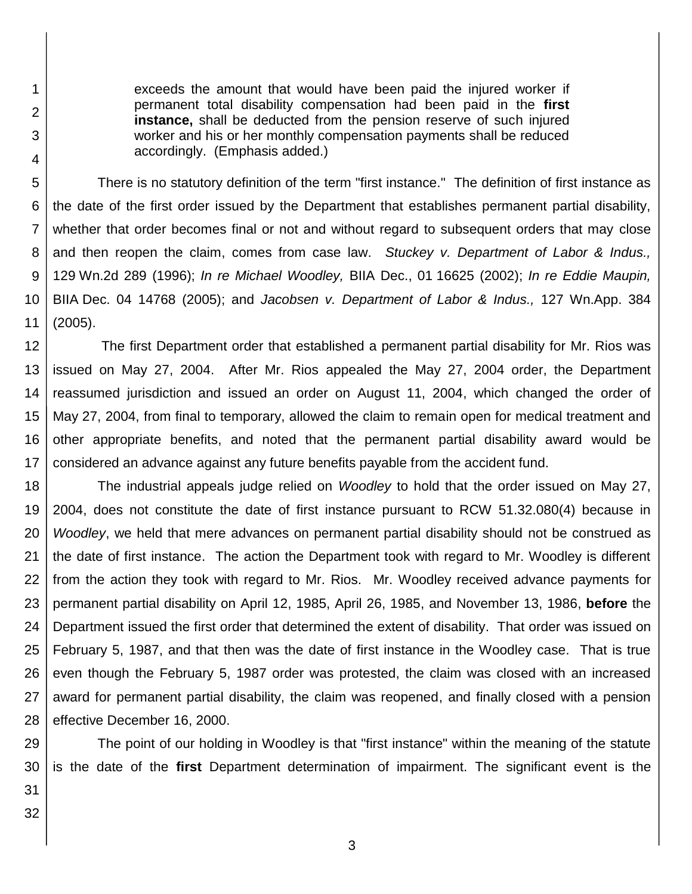exceeds the amount that would have been paid the injured worker if permanent total disability compensation had been paid in the **first instance,** shall be deducted from the pension reserve of such injured worker and his or her monthly compensation payments shall be reduced accordingly. (Emphasis added.)

5 6 7 8 9 10 11 There is no statutory definition of the term "first instance." The definition of first instance as the date of the first order issued by the Department that establishes permanent partial disability, whether that order becomes final or not and without regard to subsequent orders that may close and then reopen the claim, comes from case law. *Stuckey v. Department of Labor & Indus.,*  129 Wn.2d 289 (1996); *In re Michael Woodley,* BIIA Dec., 01 16625 (2002); *In re Eddie Maupin,*  BIIA Dec. 04 14768 (2005); and *Jacobsen v. Department of Labor & Indus.,* 127 Wn.App. 384 (2005).

12 13 14 15 16 17 The first Department order that established a permanent partial disability for Mr. Rios was issued on May 27, 2004. After Mr. Rios appealed the May 27, 2004 order, the Department reassumed jurisdiction and issued an order on August 11, 2004, which changed the order of May 27, 2004, from final to temporary, allowed the claim to remain open for medical treatment and other appropriate benefits, and noted that the permanent partial disability award would be considered an advance against any future benefits payable from the accident fund.

18 19 20 21 22 23 24 25 26 27 28 The industrial appeals judge relied on *Woodley* to hold that the order issued on May 27, 2004, does not constitute the date of first instance pursuant to RCW 51.32.080(4) because in *Woodley*, we held that mere advances on permanent partial disability should not be construed as the date of first instance. The action the Department took with regard to Mr. Woodley is different from the action they took with regard to Mr. Rios. Mr. Woodley received advance payments for permanent partial disability on April 12, 1985, April 26, 1985, and November 13, 1986, **before** the Department issued the first order that determined the extent of disability. That order was issued on February 5, 1987, and that then was the date of first instance in the Woodley case. That is true even though the February 5, 1987 order was protested, the claim was closed with an increased award for permanent partial disability, the claim was reopened, and finally closed with a pension effective December 16, 2000.

29 30 The point of our holding in Woodley is that "first instance" within the meaning of the statute is the date of the **first** Department determination of impairment. The significant event is the

31 32

1

2

3

4

3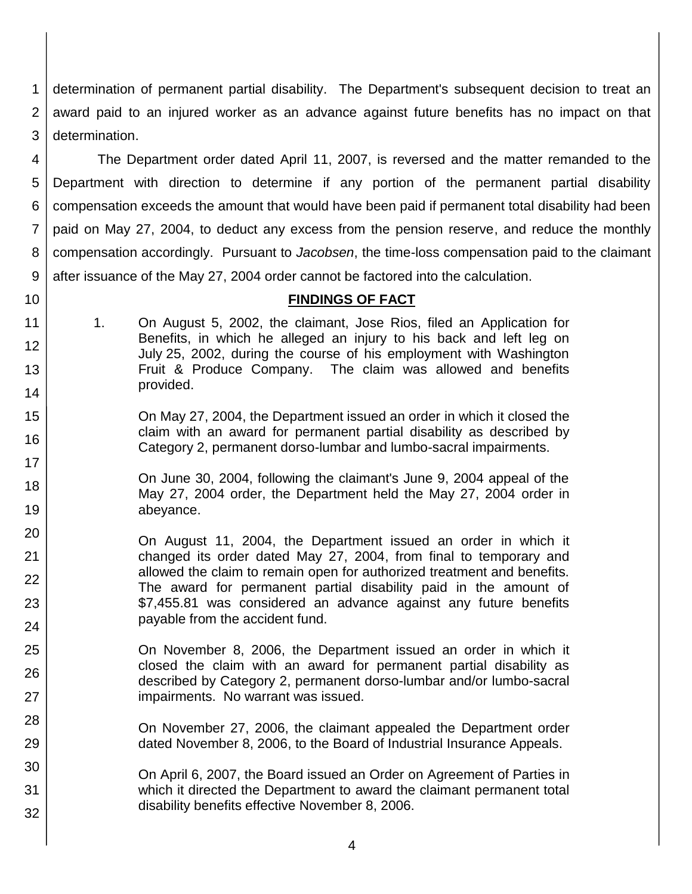1 2 3 determination of permanent partial disability. The Department's subsequent decision to treat an award paid to an injured worker as an advance against future benefits has no impact on that determination.

4 5 6 7 8 9 The Department order dated April 11, 2007, is reversed and the matter remanded to the Department with direction to determine if any portion of the permanent partial disability compensation exceeds the amount that would have been paid if permanent total disability had been paid on May 27, 2004, to deduct any excess from the pension reserve, and reduce the monthly compensation accordingly. Pursuant to *Jacobsen*, the time-loss compensation paid to the claimant after issuance of the May 27, 2004 order cannot be factored into the calculation.

10

25

26

27

28

29

30

31

32

## **FINDINGS OF FACT**

- 11 12 13 14 1. On August 5, 2002, the claimant, Jose Rios, filed an Application for Benefits, in which he alleged an injury to his back and left leg on July 25, 2002, during the course of his employment with Washington Fruit & Produce Company. The claim was allowed and benefits provided.
- 15 16 On May 27, 2004, the Department issued an order in which it closed the claim with an award for permanent partial disability as described by Category 2, permanent dorso-lumbar and lumbo-sacral impairments.
- 17 18 19 On June 30, 2004, following the claimant's June 9, 2004 appeal of the May 27, 2004 order, the Department held the May 27, 2004 order in abeyance.
- 20 21 22 23 24 On August 11, 2004, the Department issued an order in which it changed its order dated May 27, 2004, from final to temporary and allowed the claim to remain open for authorized treatment and benefits. The award for permanent partial disability paid in the amount of \$7,455.81 was considered an advance against any future benefits payable from the accident fund.
	- On November 8, 2006, the Department issued an order in which it closed the claim with an award for permanent partial disability as described by Category 2, permanent dorso-lumbar and/or lumbo-sacral impairments. No warrant was issued.

On November 27, 2006, the claimant appealed the Department order dated November 8, 2006, to the Board of Industrial Insurance Appeals.

On April 6, 2007, the Board issued an Order on Agreement of Parties in which it directed the Department to award the claimant permanent total disability benefits effective November 8, 2006.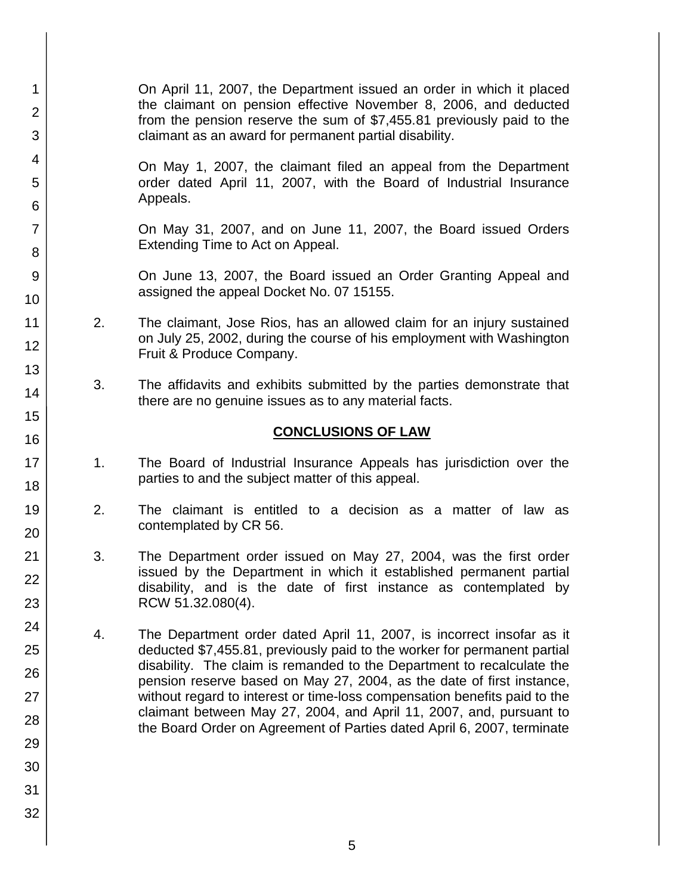- 1 2 3 4 5 6 7 8 9 10 11 12 13 14 15 16 17 18 19 20 21 22 23 24 25 26 27 28 29 30 31 32 On April 11, 2007, the Department issued an order in which it placed the claimant on pension effective November 8, 2006, and deducted from the pension reserve the sum of \$7,455.81 previously paid to the claimant as an award for permanent partial disability. On May 1, 2007, the claimant filed an appeal from the Department order dated April 11, 2007, with the Board of Industrial Insurance Appeals. On May 31, 2007, and on June 11, 2007, the Board issued Orders Extending Time to Act on Appeal. On June 13, 2007, the Board issued an Order Granting Appeal and assigned the appeal Docket No. 07 15155. 2. The claimant, Jose Rios, has an allowed claim for an injury sustained on July 25, 2002, during the course of his employment with Washington Fruit & Produce Company. 3. The affidavits and exhibits submitted by the parties demonstrate that there are no genuine issues as to any material facts. **CONCLUSIONS OF LAW** 1. The Board of Industrial Insurance Appeals has jurisdiction over the parties to and the subject matter of this appeal. 2. The claimant is entitled to a decision as a matter of law as contemplated by CR 56. 3. The Department order issued on May 27, 2004, was the first order issued by the Department in which it established permanent partial disability, and is the date of first instance as contemplated by RCW 51.32.080(4). 4. The Department order dated April 11, 2007, is incorrect insofar as it deducted \$7,455.81, previously paid to the worker for permanent partial disability. The claim is remanded to the Department to recalculate the pension reserve based on May 27, 2004, as the date of first instance, without regard to interest or time-loss compensation benefits paid to the claimant between May 27, 2004, and April 11, 2007, and, pursuant to the Board Order on Agreement of Parties dated April 6, 2007, terminate
	- 5